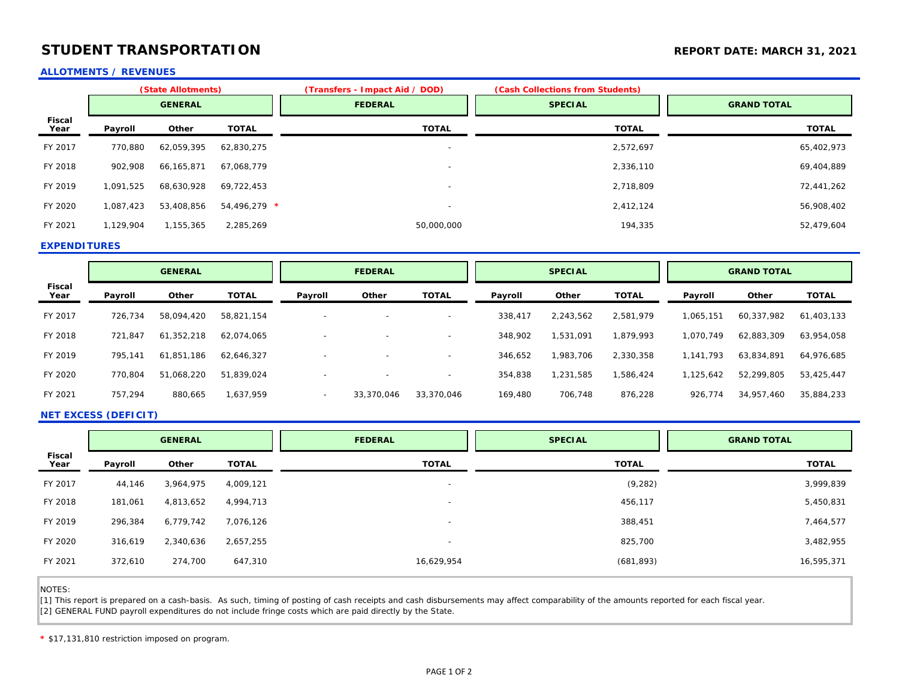# **STUDENT TRANSPORTATION STUDENT TRANSPORTATION**

### **ALLOTMENTS / REVENUES**

|                       | (State Allotments) |            |              | (Transfers - Impact Aid / DOD) | (Cash Collections from Students) |                    |  |
|-----------------------|--------------------|------------|--------------|--------------------------------|----------------------------------|--------------------|--|
|                       | <b>GENERAL</b>     |            |              | <b>FEDERAL</b>                 | <b>SPECIAL</b>                   | <b>GRAND TOTAL</b> |  |
| <b>Fiscal</b><br>Year | Payroll            | Other      | <b>TOTAL</b> | <b>TOTAL</b>                   | <b>TOTAL</b>                     | <b>TOTAL</b>       |  |
| FY 2017               | 770,880            | 62,059,395 | 62,830,275   | $\overline{\phantom{a}}$       | 2,572,697                        | 65,402,973         |  |
| FY 2018               | 902,908            | 66,165,871 | 67.068.779   | $\overline{\phantom{a}}$       | 2,336,110                        | 69,404,889         |  |
| FY 2019               | 1,091,525          | 68,630,928 | 69,722,453   | $\overline{\phantom{a}}$       | 2,718,809                        | 72,441,262         |  |
| FY 2020               | 1,087,423          | 53,408,856 | 54,496,279 * | $\overline{\phantom{a}}$       | 2,412,124                        | 56,908,402         |  |
| FY 2021               | 1,129,904          | 1,155,365  | 2,285,269    | 50,000,000                     | 194,335                          | 52,479,604         |  |

#### **EXPENDITURES**

|                       | <b>GENERAL</b> |            | <b>FEDERAL</b> |                          | <b>SPECIAL</b>           |                          | <b>GRAND TOTAL</b> |           |              |           |            |              |
|-----------------------|----------------|------------|----------------|--------------------------|--------------------------|--------------------------|--------------------|-----------|--------------|-----------|------------|--------------|
| <b>Fiscal</b><br>Year | Payroll        | Other      | <b>TOTAL</b>   | Payroll                  | Other                    | <b>TOTAL</b>             | Payroll            | Other     | <b>TOTAL</b> | Payroll   | Other      | <b>TOTAL</b> |
| FY 2017               | 726.734        | 58.094.420 | 58,821,154     | $\overline{\phantom{a}}$ |                          | $\overline{\phantom{0}}$ | 338,417            | 2,243,562 | 2.581.979    | 1,065,151 | 60,337,982 | 61,403,133   |
| FY 2018               | 721,847        | 61,352,218 | 62,074,065     |                          |                          |                          | 348,902            | 1,531,091 | 1,879,993    | 1,070,749 | 62,883,309 | 63,954,058   |
| FY 2019               | 795.141        | 61,851,186 | 62,646,327     | $\overline{\phantom{a}}$ |                          | $\overline{\phantom{0}}$ | 346,652            | 1,983,706 | 2,330,358    | 1,141,793 | 63,834,891 | 64,976,685   |
| FY 2020               | 770,804        | 51,068,220 | 51,839,024     | $\overline{\phantom{0}}$ | $\overline{\phantom{a}}$ | $\overline{\phantom{0}}$ | 354,838            | 1,231,585 | 1,586,424    | 1,125,642 | 52,299,805 | 53,425,447   |
| FY 2021               | 757,294        | 880,665    | 1,637,959      | $\overline{\phantom{0}}$ | 33,370,046               | 33,370,046               | 169,480            | 706,748   | 876,228      | 926,774   | 34,957,460 | 35,884,233   |

### **NET EXCESS (DEFICIT)**

|                | <b>GENERAL</b> |           |              | <b>FEDERAL</b>           | <b>SPECIAL</b> | <b>GRAND TOTAL</b> |  |
|----------------|----------------|-----------|--------------|--------------------------|----------------|--------------------|--|
| Fiscal<br>Year | Payroll        | Other     | <b>TOTAL</b> | <b>TOTAL</b>             | <b>TOTAL</b>   | <b>TOTAL</b>       |  |
| FY 2017        | 44,146         | 3,964,975 | 4,009,121    | $\overline{\phantom{a}}$ | (9, 282)       | 3,999,839          |  |
| FY 2018        | 181,061        | 4,813,652 | 4,994,713    | $\overline{a}$           | 456,117        | 5,450,831          |  |
| FY 2019        | 296,384        | 6,779,742 | 7,076,126    | $\overline{\phantom{a}}$ | 388,451        | 7,464,577          |  |
| FY 2020        | 316,619        | 2,340,636 | 2,657,255    | $\overline{\phantom{a}}$ | 825,700        | 3,482,955          |  |
| FY 2021        | 372,610        | 274,700   | 647,310      | 16,629,954               | (681, 893)     | 16,595,371         |  |

NOTES:

Ī

[1] This report is prepared on a cash-basis. As such, timing of posting of cash receipts and cash disbursements may affect comparability of the amounts reported for each fiscal year. [2] GENERAL FUND payroll expenditures do not include fringe costs which are paid directly by the State.

**\*** \$17,131,810 restriction imposed on program.